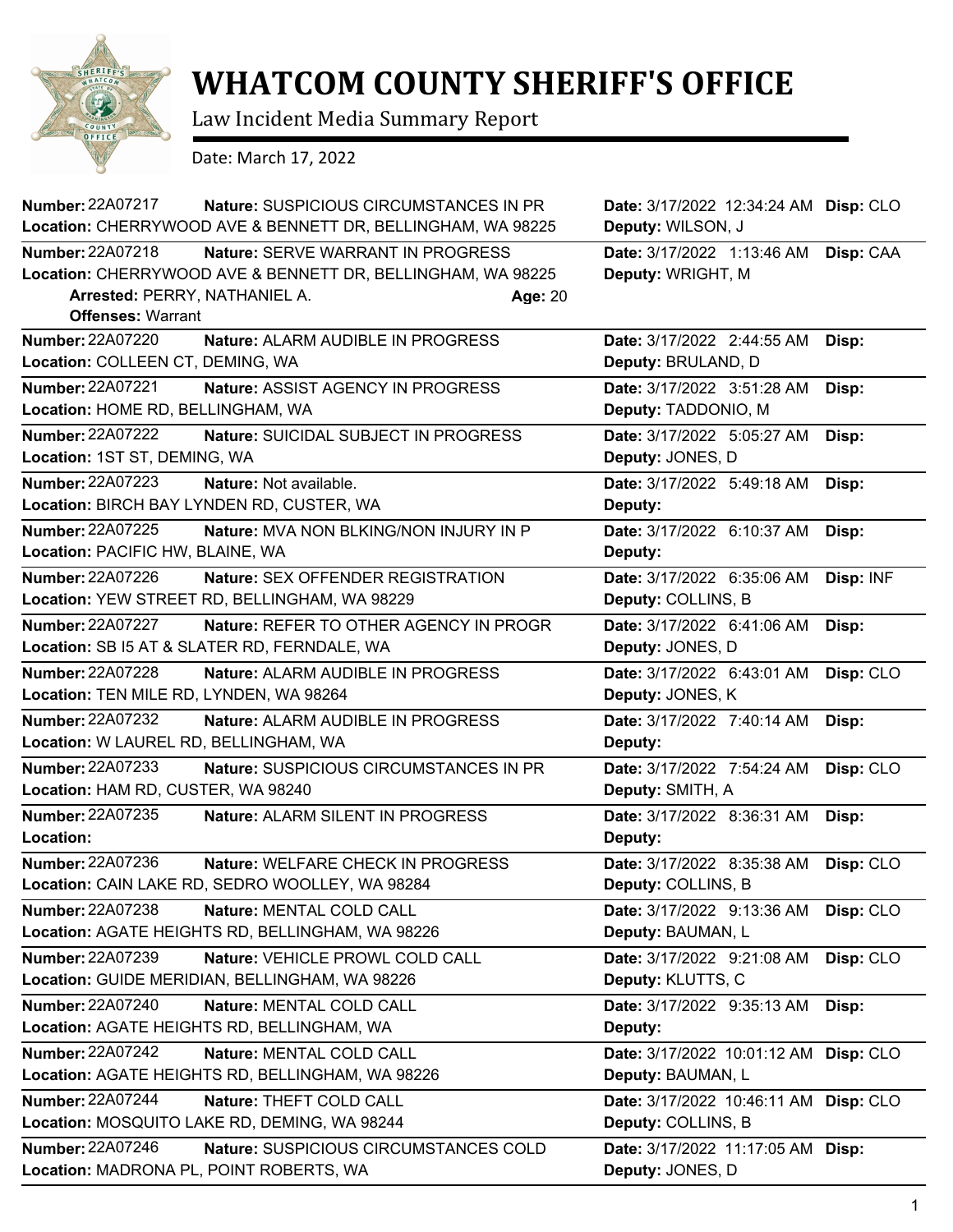

## **WHATCOM COUNTY SHERIFF'S OFFICE**

Law Incident Media Summary Report

Date: March 17, 2022

| <b>Number: 22A07217</b>                 | <b>Nature: SUSPICIOUS CIRCUMSTANCES IN PR</b>               | Date: 3/17/2022 12:34:24 AM Disp: CLO |           |
|-----------------------------------------|-------------------------------------------------------------|---------------------------------------|-----------|
|                                         | Location: CHERRYWOOD AVE & BENNETT DR, BELLINGHAM, WA 98225 | Deputy: WILSON, J                     |           |
| Number: 22A07218                        | <b>Nature: SERVE WARRANT IN PROGRESS</b>                    | Date: 3/17/2022 1:13:46 AM            | Disp: CAA |
|                                         | Location: CHERRYWOOD AVE & BENNETT DR, BELLINGHAM, WA 98225 | Deputy: WRIGHT, M                     |           |
| Arrested: PERRY, NATHANIEL A.           | Age: 20                                                     |                                       |           |
| <b>Offenses: Warrant</b>                |                                                             |                                       |           |
| <b>Number: 22A07220</b>                 | Nature: ALARM AUDIBLE IN PROGRESS                           | Date: 3/17/2022 2:44:55 AM            | Disp:     |
| Location: COLLEEN CT, DEMING, WA        |                                                             | Deputy: BRULAND, D                    |           |
| <b>Number: 22A07221</b>                 | Nature: ASSIST AGENCY IN PROGRESS                           | Date: 3/17/2022 3:51:28 AM            | Disp:     |
| Location: HOME RD, BELLINGHAM, WA       |                                                             | Deputy: TADDONIO, M                   |           |
| Number: 22A07222                        | Nature: SUICIDAL SUBJECT IN PROGRESS                        | Date: 3/17/2022 5:05:27 AM            | Disp:     |
| Location: 1ST ST, DEMING, WA            |                                                             | Deputy: JONES, D                      |           |
| Number: 22A07223                        | Nature: Not available.                                      | Date: 3/17/2022 5:49:18 AM            | Disp:     |
|                                         | Location: BIRCH BAY LYNDEN RD, CUSTER, WA                   | Deputy:                               |           |
| <b>Number: 22A07225</b>                 | Nature: MVA NON BLKING/NON INJURY IN P                      | Date: 3/17/2022 6:10:37 AM            | Disp:     |
| Location: PACIFIC HW, BLAINE, WA        |                                                             | Deputy:                               |           |
| Number: 22A07226                        | Nature: SEX OFFENDER REGISTRATION                           | Date: 3/17/2022 6:35:06 AM            | Disp: INF |
|                                         | Location: YEW STREET RD, BELLINGHAM, WA 98229               | Deputy: COLLINS, B                    |           |
| <b>Number: 22A07227</b>                 | Nature: REFER TO OTHER AGENCY IN PROGR                      | Date: 3/17/2022 6:41:06 AM            | Disp:     |
|                                         | Location: SB I5 AT & SLATER RD, FERNDALE, WA                | Deputy: JONES, D                      |           |
| <b>Number: 22A07228</b>                 | Nature: ALARM AUDIBLE IN PROGRESS                           | Date: 3/17/2022 6:43:01 AM            | Disp: CLO |
| Location: TEN MILE RD, LYNDEN, WA 98264 |                                                             | Deputy: JONES, K                      |           |
| <b>Number: 22A07232</b>                 | Nature: ALARM AUDIBLE IN PROGRESS                           | Date: 3/17/2022 7:40:14 AM            | Disp:     |
| Location: W LAUREL RD, BELLINGHAM, WA   |                                                             | Deputy:                               |           |
| <b>Number: 22A07233</b>                 | Nature: SUSPICIOUS CIRCUMSTANCES IN PR                      | Date: 3/17/2022 7:54:24 AM            | Disp: CLO |
| Location: HAM RD, CUSTER, WA 98240      |                                                             | Deputy: SMITH, A                      |           |
| Number: 22A07235                        | Nature: ALARM SILENT IN PROGRESS                            | Date: 3/17/2022 8:36:31 AM            | Disp:     |
| Location:                               |                                                             | Deputy:                               |           |
| Number: 22A07236                        | Nature: WELFARE CHECK IN PROGRESS                           | Date: 3/17/2022 8:35:38 AM            | Disp: CLO |
|                                         | Location: CAIN LAKE RD, SEDRO WOOLLEY, WA 98284             | Deputy: COLLINS, B                    |           |
| Number: 22A07238                        | Nature: MENTAL COLD CALL                                    | Date: 3/17/2022 9:13:36 AM            | Disp: CLO |
|                                         | Location: AGATE HEIGHTS RD, BELLINGHAM, WA 98226            | Deputy: BAUMAN, L                     |           |
| Number: 22A07239                        | Nature: VEHICLE PROWL COLD CALL                             | Date: 3/17/2022 9:21:08 AM            | Disp: CLO |
|                                         | Location: GUIDE MERIDIAN, BELLINGHAM, WA 98226              | Deputy: KLUTTS, C                     |           |
| <b>Number: 22A07240</b>                 | Nature: MENTAL COLD CALL                                    | Date: 3/17/2022 9:35:13 AM            | Disp:     |
|                                         | Location: AGATE HEIGHTS RD, BELLINGHAM, WA                  | Deputy:                               |           |
| Number: 22A07242                        | Nature: MENTAL COLD CALL                                    | Date: 3/17/2022 10:01:12 AM           | Disp: CLO |
|                                         | Location: AGATE HEIGHTS RD, BELLINGHAM, WA 98226            | Deputy: BAUMAN, L                     |           |
| <b>Number: 22A07244</b>                 | Nature: THEFT COLD CALL                                     | Date: 3/17/2022 10:46:11 AM Disp: CLO |           |
|                                         | Location: MOSQUITO LAKE RD, DEMING, WA 98244                | Deputy: COLLINS, B                    |           |
| Number: 22A07246                        | Nature: SUSPICIOUS CIRCUMSTANCES COLD                       | Date: 3/17/2022 11:17:05 AM Disp:     |           |
| Location: MADRONA PL, POINT ROBERTS, WA |                                                             | Deputy: JONES, D                      |           |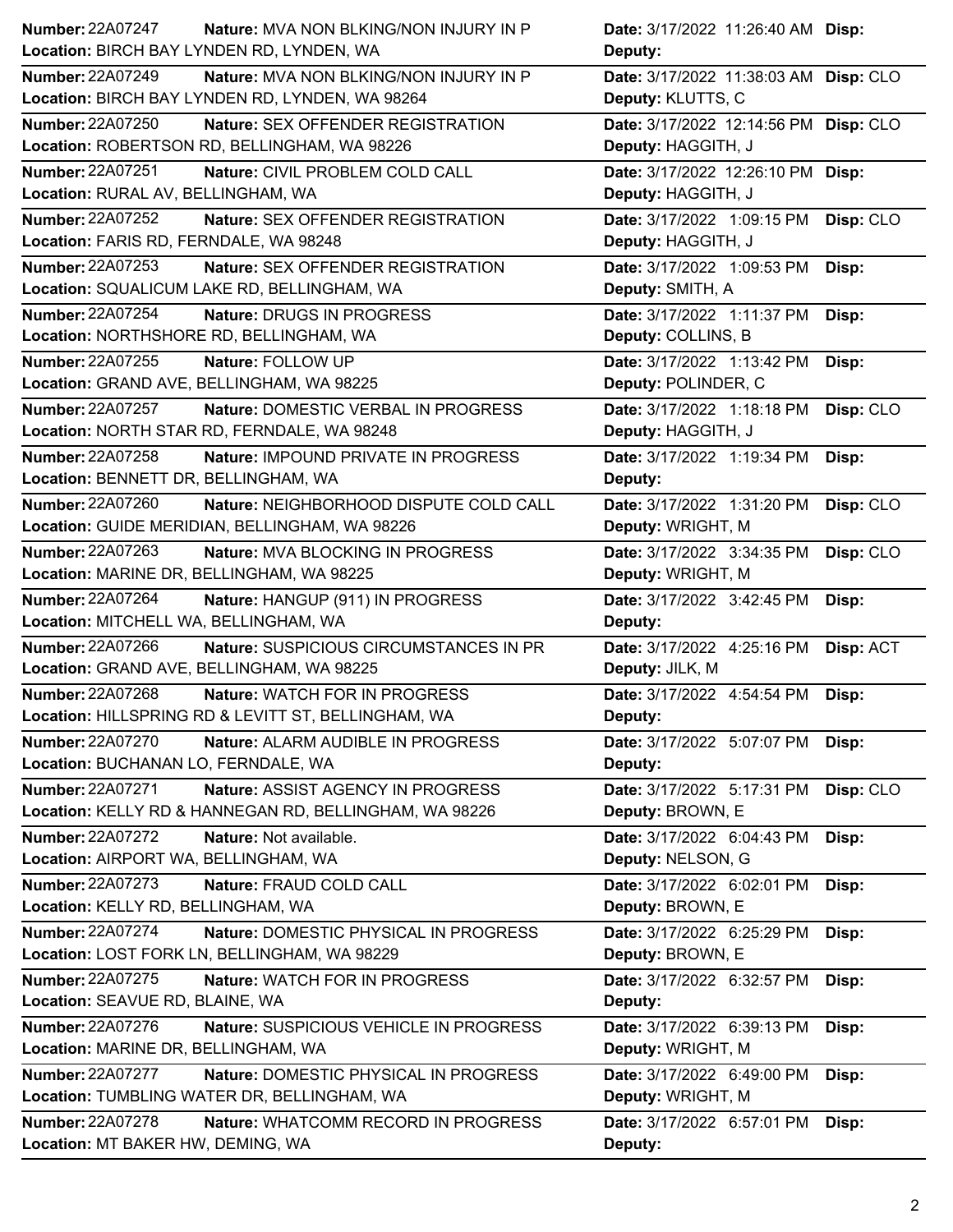| <b>Number: 22A07247</b><br>Nature: MVA NON BLKING/NON INJURY IN P        | Date: 3/17/2022 11:26:40 AM Disp:       |
|--------------------------------------------------------------------------|-----------------------------------------|
| Location: BIRCH BAY LYNDEN RD, LYNDEN, WA                                | Deputy:                                 |
| <b>Number: 22A07249</b><br><b>Nature: MVA NON BLKING/NON INJURY IN P</b> | Date: 3/17/2022 11:38:03 AM Disp: CLO   |
| Location: BIRCH BAY LYNDEN RD, LYNDEN, WA 98264                          | Deputy: KLUTTS, C                       |
| Number: 22A07250<br>Nature: SEX OFFENDER REGISTRATION                    | Date: 3/17/2022 12:14:56 PM Disp: CLO   |
| Location: ROBERTSON RD, BELLINGHAM, WA 98226                             | Deputy: HAGGITH, J                      |
| <b>Number: 22A07251</b><br>Nature: CIVIL PROBLEM COLD CALL               | Date: 3/17/2022 12:26:10 PM Disp:       |
| Location: RURAL AV, BELLINGHAM, WA                                       | Deputy: HAGGITH, J                      |
| Number: 22A07252<br>Nature: SEX OFFENDER REGISTRATION                    | Date: 3/17/2022 1:09:15 PM<br>Disp: CLO |
| Location: FARIS RD, FERNDALE, WA 98248                                   | Deputy: HAGGITH, J                      |
| Number: 22A07253<br>Nature: SEX OFFENDER REGISTRATION                    | Date: 3/17/2022 1:09:53 PM<br>Disp:     |
| Location: SQUALICUM LAKE RD, BELLINGHAM, WA                              | Deputy: SMITH, A                        |
| Number: 22A07254<br>Nature: DRUGS IN PROGRESS                            | Date: 3/17/2022 1:11:37 PM<br>Disp:     |
| Location: NORTHSHORE RD, BELLINGHAM, WA                                  | Deputy: COLLINS, B                      |
| Number: 22A07255<br>Nature: FOLLOW UP                                    | Date: 3/17/2022 1:13:42 PM<br>Disp:     |
| Location: GRAND AVE, BELLINGHAM, WA 98225                                | Deputy: POLINDER, C                     |
| Number: 22A07257<br>Nature: DOMESTIC VERBAL IN PROGRESS                  | Date: 3/17/2022 1:18:18 PM<br>Disp: CLO |
| Location: NORTH STAR RD, FERNDALE, WA 98248                              | Deputy: HAGGITH, J                      |
| Number: 22A07258<br>Nature: IMPOUND PRIVATE IN PROGRESS                  | Date: 3/17/2022 1:19:34 PM<br>Disp:     |
| Location: BENNETT DR, BELLINGHAM, WA                                     | Deputy:                                 |
| Number: 22A07260<br>Nature: NEIGHBORHOOD DISPUTE COLD CALL               | Disp: CLO<br>Date: 3/17/2022 1:31:20 PM |
| Location: GUIDE MERIDIAN, BELLINGHAM, WA 98226                           | Deputy: WRIGHT, M                       |
| Number: 22A07263<br>Nature: MVA BLOCKING IN PROGRESS                     | Disp: CLO<br>Date: 3/17/2022 3:34:35 PM |
| Location: MARINE DR, BELLINGHAM, WA 98225                                | Deputy: WRIGHT, M                       |
|                                                                          |                                         |
| <b>Number: 22A07264</b><br>Nature: HANGUP (911) IN PROGRESS              | Date: 3/17/2022 3:42:45 PM<br>Disp:     |
| Location: MITCHELL WA, BELLINGHAM, WA                                    | Deputy:                                 |
| Number: 22A07266<br>Nature: SUSPICIOUS CIRCUMSTANCES IN PR               | Date: 3/17/2022 4:25:16 PM<br>Disp: ACT |
| Location: GRAND AVE, BELLINGHAM, WA 98225                                | Deputy: JILK, M                         |
| <b>Number: 22A07268</b><br>Nature: WATCH FOR IN PROGRESS                 | Date: 3/17/2022 4:54:54 PM<br>Disp:     |
| Location: HILLSPRING RD & LEVITT ST, BELLINGHAM, WA                      | Deputy:                                 |
| <b>Number: 22A07270</b><br>Nature: ALARM AUDIBLE IN PROGRESS             | Date: 3/17/2022 5:07:07 PM<br>Disp:     |
| Location: BUCHANAN LO, FERNDALE, WA                                      | Deputy:                                 |
| <b>Number: 22A07271</b><br>Nature: ASSIST AGENCY IN PROGRESS             | Date: 3/17/2022 5:17:31 PM<br>Disp: CLO |
| Location: KELLY RD & HANNEGAN RD, BELLINGHAM, WA 98226                   | Deputy: BROWN, E                        |
| <b>Number: 22A07272</b><br>Nature: Not available.                        | Date: 3/17/2022 6:04:43 PM<br>Disp:     |
| Location: AIRPORT WA, BELLINGHAM, WA                                     | Deputy: NELSON, G                       |
| Number: 22A07273<br>Nature: FRAUD COLD CALL                              | Date: 3/17/2022 6:02:01 PM<br>Disp:     |
| Location: KELLY RD, BELLINGHAM, WA                                       | Deputy: BROWN, E                        |
| <b>Number: 22A07274</b><br>Nature: DOMESTIC PHYSICAL IN PROGRESS         | Date: 3/17/2022 6:25:29 PM<br>Disp:     |
| Location: LOST FORK LN, BELLINGHAM, WA 98229                             | Deputy: BROWN, E                        |
| <b>Number: 22A07275</b><br>Nature: WATCH FOR IN PROGRESS                 | Date: 3/17/2022 6:32:57 PM<br>Disp:     |
| Location: SEAVUE RD, BLAINE, WA                                          | Deputy:                                 |
| Number: 22A07276<br>Nature: SUSPICIOUS VEHICLE IN PROGRESS               | Date: 3/17/2022 6:39:13 PM<br>Disp:     |
| Location: MARINE DR, BELLINGHAM, WA                                      | Deputy: WRIGHT, M                       |
| <b>Number: 22A07277</b><br>Nature: DOMESTIC PHYSICAL IN PROGRESS         | Date: 3/17/2022 6:49:00 PM<br>Disp:     |
| Location: TUMBLING WATER DR, BELLINGHAM, WA                              | Deputy: WRIGHT, M                       |
| <b>Number: 22A07278</b><br>Nature: WHATCOMM RECORD IN PROGRESS           | Date: 3/17/2022 6:57:01 PM<br>Disp:     |